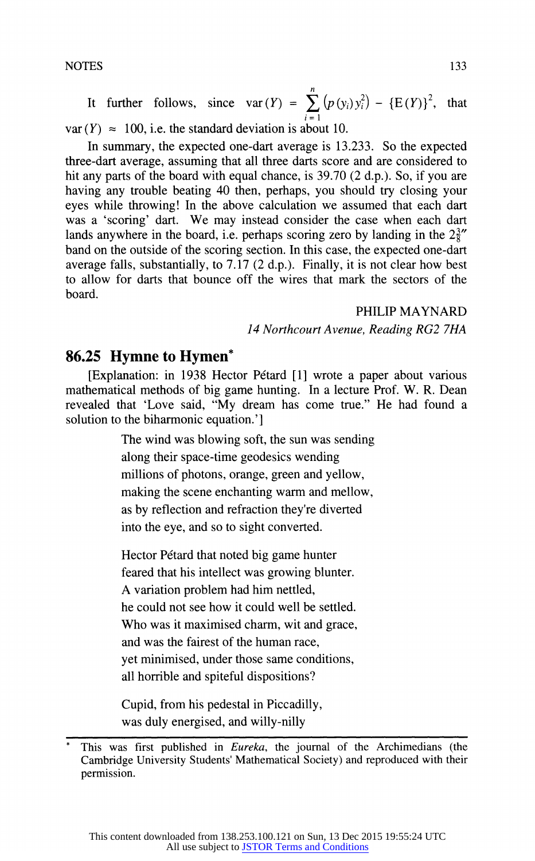**n**  It further follows, since  $var(Y) = \sum_{i=1}^{n} (p(y_i)y_i^2) - {E(Y)}^2$ , that  $var(Y) \approx 100$ , i.e. the standard deviation is about 10.

**In summary, the expected one-dart average is 13.233. So the expected three-dart average, assuming that all three darts score and are considered to hit any parts of the board with equal chance, is 39.70 (2 d.p.). So, if you are having any trouble beating 40 then, perhaps, you should try closing your eyes while throwing! In the above calculation we assumed that each dart was a 'scoring' dart. We may instead consider the case when each dart**  lands anywhere in the board, i.e. perhaps scoring zero by landing in the  $2\frac{3}{8}$ **band on the outside of the scoring section. In this case, the expected one-dart average falls, substantially, to 7.17 (2 d.p.). Finally, it is not clear how best to allow for darts that bounce off the wires that mark the sectors of the board.** 

**PHILIP MAYNARD** 

### **14 Northcourt Avenue, Reading RG2 7HA**

# **86.25 Hymne to Hymen\***

**[Explanation: in 1938 Hector Petard [1] wrote a paper about various mathematical methods of big game hunting. In a lecture Prof. W. R. Dean revealed that 'Love said, "My dream has come true." He had found a solution to the biharmonic equation.']** 

> **The wind was blowing soft, the sun was sending along their space-time geodesics wending millions of photons, orange, green and yellow, making the scene enchanting warm and mellow, as by reflection and refraction they're diverted into the eye, and so to sight converted.**

**Hector Petard that noted big game hunter feared that his intellect was growing blunter. A variation problem had him nettled, he could not see how it could well be settled. Who was it maximised charm, wit and grace, and was the fairest of the human race, yet minimised, under those same conditions, all horrible and spiteful dispositions?** 

**Cupid, from his pedestal in Piccadilly, was duly energised, and willy-nilly** 

This was first published in *Eureka*, the journal of the Archimedians (the **Cambridge University Students' Mathematical Society) and reproduced with their permission.**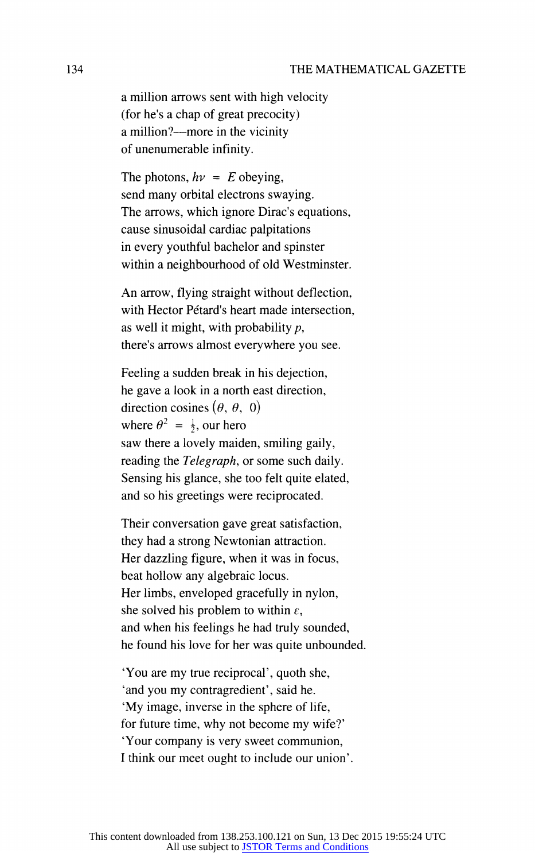**a million arrows sent with high velocity (for he's a chap of great precocity) a million?-more in the vicinity of unenumerable infinity.** 

The photons,  $h\nu = E$  obeying, **send many orbital electrons swaying. The arrows, which ignore Dirac's equations, cause sinusoidal cardiac palpitations in every youthful bachelor and spinster within a neighbourhood of old Westminster.** 

**An arrow, flying straight without deflection,**  with Hector Pétard's heart made intersection, **as well it might, with probability p, there's arrows almost everywhere you see.** 

**Feeling a sudden break in his dejection, he gave a look in a north east direction,**  direction cosines  $(\theta, \theta, 0)$ where  $\theta^2 = \frac{1}{2}$ , our hero **saw there a lovely maiden, smiling gaily, reading the Telegraph, or some such daily. Sensing his glance, she too felt quite elated, and so his greetings were reciprocated.** 

**Their conversation gave great satisfaction, they had a strong Newtonian attraction. Her dazzling figure, when it was in focus, beat hollow any algebraic locus. Her limbs, enveloped gracefully in nylon,**  she solved his problem to within  $\varepsilon$ , **and when his feelings he had truly sounded, he found his love for her was quite unbounded.** 

**'You are my true reciprocal', quoth she, 'and you my contragredient', said he. 'My image, inverse in the sphere of life, for future time, why not become my wife?' 'Your company is very sweet communion, I think our meet ought to include our union'.**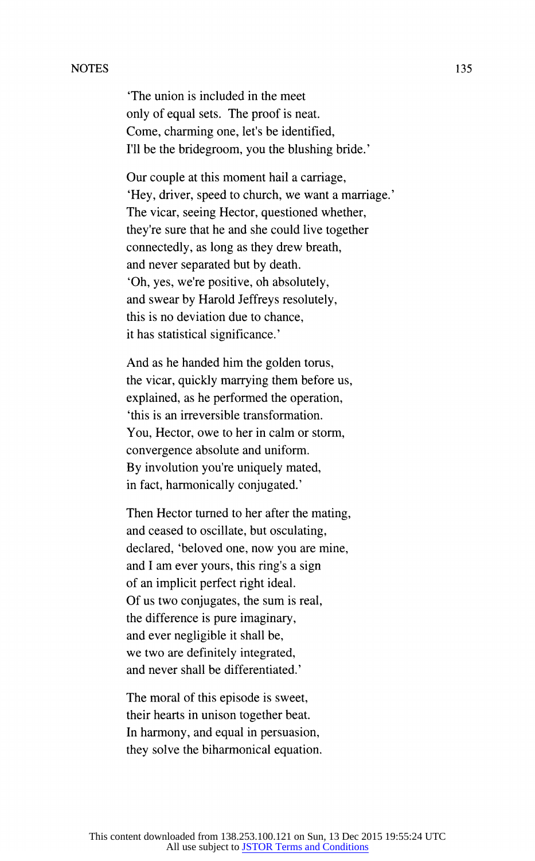#### **NOTES**

**'The union is included in the meet only of equal sets. The proof is neat. Come, charming one, let's be identified, I'll be the bridegroom, you the blushing bride.'** 

**Our couple at this moment hail a carriage, 'Hey, driver, speed to church, we want a marriage.' The vicar, seeing Hector, questioned whether, they're sure that he and she could live together connectedly, as long as they drew breath, and never separated but by death. 'Oh, yes, we're positive, oh absolutely, and swear by Harold Jeffreys resolutely, this is no deviation due to chance, it has statistical significance.'** 

**And as he handed him the golden torus, the vicar, quickly marrying them before us, explained, as he performed the operation, 'this is an irreversible transformation. You, Hector, owe to her in calm or storm, convergence absolute and uniform. By involution you're uniquely mated, in fact, harmonically conjugated.'** 

**Then Hector turned to her after the mating, and ceased to oscillate, but osculating, declared, 'beloved one, now you are mine, and I am ever yours, this ring's a sign of an implicit perfect right ideal. Of us two conjugates, the sum is real, the difference is pure imaginary, and ever negligible it shall be, we two are definitely integrated, and never shall be differentiated.'** 

**The moral of this episode is sweet, their hearts in unison together beat. In harmony, and equal in persuasion, they solve the biharmonical equation.**